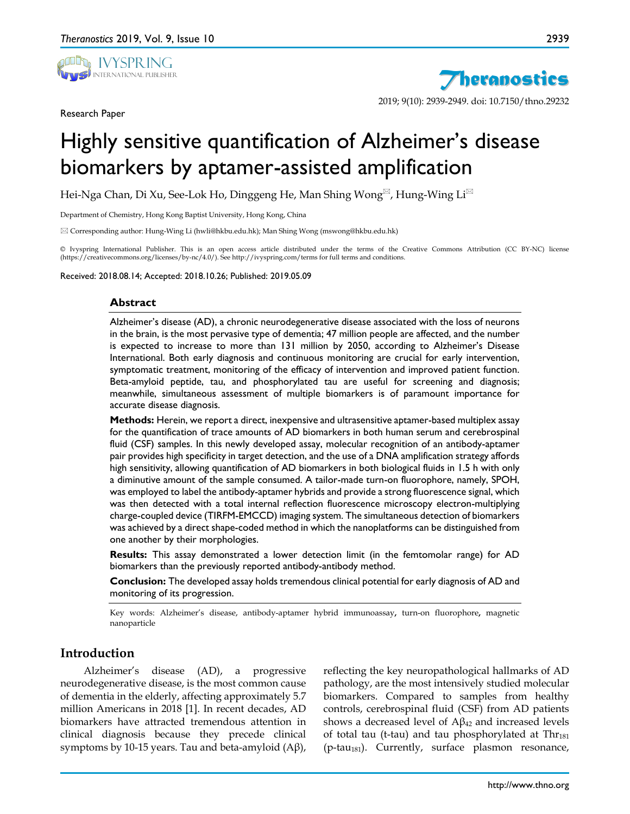

Research Paper



2019; 9(10): 2939-2949. doi: 10.7150/thno.29232

# Highly sensitive quantification of Alzheimer's disease biomarkers by aptamer-assisted amplification

Hei-Nga Chan, Di Xu, See-Lok Ho, Dinggeng He, Man Shing Wong<sup> $\boxtimes$ </sup>, Hung-Wing Li $^{\boxtimes}$ 

Department of Chemistry, Hong Kong Baptist University, Hong Kong, China

 $\boxtimes$  Corresponding author: Hung-Wing Li (hwli@hkbu.edu.hk); Man Shing Wong (mswong@hkbu.edu.hk)

© Ivyspring International Publisher. This is an open access article distributed under the terms of the Creative Commons Attribution (CC BY-NC) license (https://creativecommons.org/licenses/by-nc/4.0/). See http://ivyspring.com/terms for full terms and conditions.

Received: 2018.08.14; Accepted: 2018.10.26; Published: 2019.05.09

#### **Abstract**

Alzheimer's disease (AD), a chronic neurodegenerative disease associated with the loss of neurons in the brain, is the most pervasive type of dementia; 47 million people are affected, and the number is expected to increase to more than 131 million by 2050, according to Alzheimer's Disease International. Both early diagnosis and continuous monitoring are crucial for early intervention, symptomatic treatment, monitoring of the efficacy of intervention and improved patient function. Beta-amyloid peptide, tau, and phosphorylated tau are useful for screening and diagnosis; meanwhile, simultaneous assessment of multiple biomarkers is of paramount importance for accurate disease diagnosis.

**Methods:** Herein, we report a direct, inexpensive and ultrasensitive aptamer-based multiplex assay for the quantification of trace amounts of AD biomarkers in both human serum and cerebrospinal fluid (CSF) samples. In this newly developed assay, molecular recognition of an antibody-aptamer pair provides high specificity in target detection, and the use of a DNA amplification strategy affords high sensitivity, allowing quantification of AD biomarkers in both biological fluids in 1.5 h with only a diminutive amount of the sample consumed. A tailor-made turn-on fluorophore, namely, SPOH, was employed to label the antibody-aptamer hybrids and provide a strong fluorescence signal, which was then detected with a total internal reflection fluorescence microscopy electron-multiplying charge-coupled device (TIRFM-EMCCD) imaging system. The simultaneous detection of biomarkers was achieved by a direct shape-coded method in which the nanoplatforms can be distinguished from one another by their morphologies.

**Results:** This assay demonstrated a lower detection limit (in the femtomolar range) for AD biomarkers than the previously reported antibody-antibody method.

**Conclusion:** The developed assay holds tremendous clinical potential for early diagnosis of AD and monitoring of its progression.

Key words: Alzheimer's disease, antibody-aptamer hybrid immunoassay**,** turn-on fluorophore**,** magnetic nanoparticle

# **Introduction**

Alzheimer's disease (AD), a progressive neurodegenerative disease, is the most common cause of dementia in the elderly, affecting approximately 5.7 million Americans in 2018 [1]. In recent decades, AD biomarkers have attracted tremendous attention in clinical diagnosis because they precede clinical symptoms by 10-15 years. Tau and beta-amyloid (Aβ),

reflecting the key neuropathological hallmarks of AD pathology, are the most intensively studied molecular biomarkers. Compared to samples from healthy controls, cerebrospinal fluid (CSF) from AD patients shows a decreased level of  $A\beta_{42}$  and increased levels of total tau (t-tau) and tau phosphorylated at  $Thr_{181}$  $(p$ -tau<sub>181</sub>). Currently, surface plasmon resonance,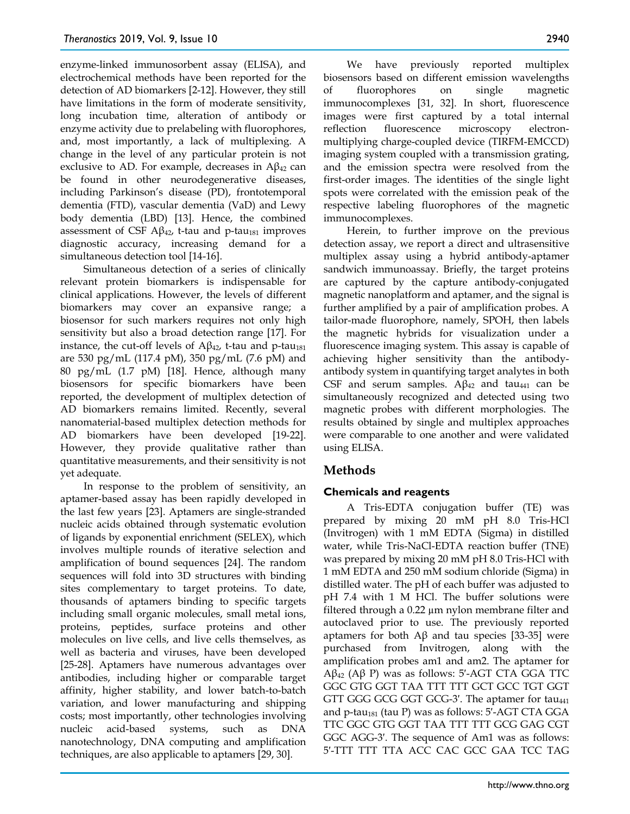enzyme-linked immunosorbent assay (ELISA), and electrochemical methods have been reported for the detection of AD biomarkers [2-12]. However, they still have limitations in the form of moderate sensitivity, long incubation time, alteration of antibody or enzyme activity due to prelabeling with fluorophores, and, most importantly, a lack of multiplexing. A change in the level of any particular protein is not exclusive to AD. For example, decreases in  $A\beta_{42}$  can be found in other neurodegenerative diseases, including Parkinson's disease (PD), frontotemporal dementia (FTD), vascular dementia (VaD) and Lewy body dementia (LBD) [13]. Hence, the combined assessment of CSF  $A\beta_{42}$ , t-tau and p-tau<sub>181</sub> improves diagnostic accuracy, increasing demand for a simultaneous detection tool [14-16].

Simultaneous detection of a series of clinically relevant protein biomarkers is indispensable for clinical applications. However, the levels of different biomarkers may cover an expansive range; a biosensor for such markers requires not only high sensitivity but also a broad detection range [17]. For instance, the cut-off levels of  $A\beta_{42}$ , t-tau and p-tau<sub>181</sub> are 530 pg/mL (117.4 pM), 350 pg/mL (7.6 pM) and 80 pg/mL (1.7 pM) [18]. Hence, although many biosensors for specific biomarkers have been reported, the development of multiplex detection of AD biomarkers remains limited. Recently, several nanomaterial-based multiplex detection methods for AD biomarkers have been developed [19-22]. However, they provide qualitative rather than quantitative measurements, and their sensitivity is not yet adequate.

In response to the problem of sensitivity, an aptamer-based assay has been rapidly developed in the last few years [23]. Aptamers are single-stranded nucleic acids obtained through systematic evolution of ligands by exponential enrichment (SELEX), which involves multiple rounds of iterative selection and amplification of bound sequences [24]. The random sequences will fold into 3D structures with binding sites complementary to target proteins. To date, thousands of aptamers binding to specific targets including small organic molecules, small metal ions, proteins, peptides, surface proteins and other molecules on live cells, and live cells themselves, as well as bacteria and viruses, have been developed [25-28]. Aptamers have numerous advantages over antibodies, including higher or comparable target affinity, higher stability, and lower batch-to-batch variation, and lower manufacturing and shipping costs; most importantly, other technologies involving nucleic acid-based systems, such as DNA nanotechnology, DNA computing and amplification techniques, are also applicable to aptamers [29, 30].

We have previously reported multiplex biosensors based on different emission wavelengths of fluorophores on single magnetic immunocomplexes [31, 32]. In short, fluorescence images were first captured by a total internal reflection fluorescence microscopy electronmultiplying charge-coupled device (TIRFM-EMCCD) imaging system coupled with a transmission grating, and the emission spectra were resolved from the first-order images. The identities of the single light spots were correlated with the emission peak of the respective labeling fluorophores of the magnetic immunocomplexes.

Herein, to further improve on the previous detection assay, we report a direct and ultrasensitive multiplex assay using a hybrid antibody-aptamer sandwich immunoassay. Briefly, the target proteins are captured by the capture antibody-conjugated magnetic nanoplatform and aptamer, and the signal is further amplified by a pair of amplification probes. A tailor-made fluorophore, namely, SPOH, then labels the magnetic hybrids for visualization under a fluorescence imaging system. This assay is capable of achieving higher sensitivity than the antibodyantibody system in quantifying target analytes in both CSF and serum samples.  $A\beta_{42}$  and tau<sub>441</sub> can be simultaneously recognized and detected using two magnetic probes with different morphologies. The results obtained by single and multiplex approaches were comparable to one another and were validated using ELISA.

# **Methods**

## **Chemicals and reagents**

A Tris-EDTA conjugation buffer (TE) was prepared by mixing 20 mM pH 8.0 Tris-HCl (Invitrogen) with 1 mM EDTA (Sigma) in distilled water, while Tris-NaCl-EDTA reaction buffer (TNE) was prepared by mixing 20 mM pH 8.0 Tris-HCl with 1 mM EDTA and 250 mM sodium chloride (Sigma) in distilled water. The pH of each buffer was adjusted to pH 7.4 with 1 M HCl. The buffer solutions were filtered through a 0.22 µm nylon membrane filter and autoclaved prior to use. The previously reported aptamers for both  $\text{A}β$  and tau species [33-35] were purchased from Invitrogen, along with the amplification probes am1 and am2. The aptamer for  $Aβ<sub>42</sub> (Aβ P)$  was as follows: 5'-AGT CTA GGA TTC GGC GTG GGT TAA TTT TTT GCT GCC TGT GGT GTT GGG GCG GGT GCG-3'. The aptamer for tau<sub>441</sub> and p-tau $_{181}$  (tau P) was as follows: 5'-AGT CTA GGA TTC GGC GTG GGT TAA TTT TTT GCG GAG CGT GGC AGG-3′. The sequence of Am1 was as follows: 5′-TTT TTT TTA ACC CAC GCC GAA TCC TAG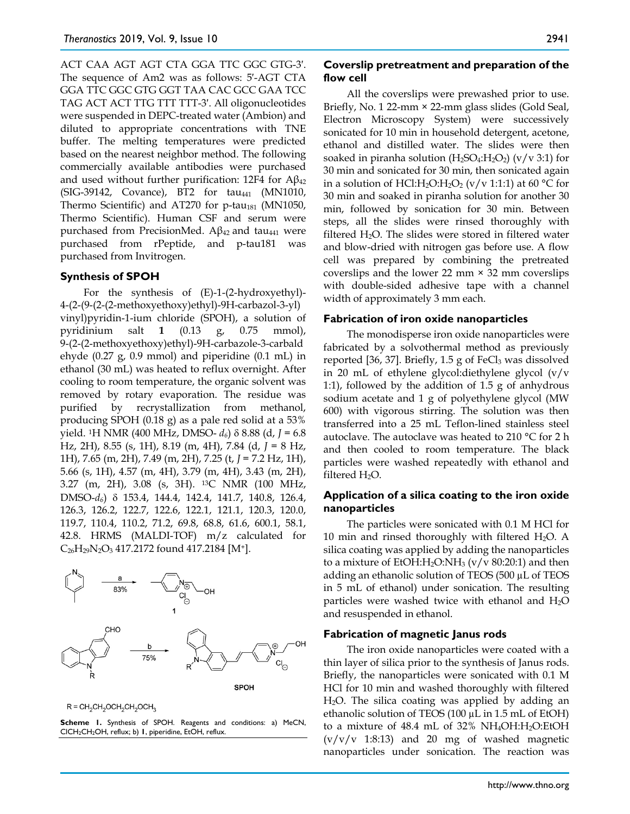ACT CAA AGT AGT CTA GGA TTC GGC GTG-3′. The sequence of Am2 was as follows: 5′-AGT CTA GGA TTC GGC GTG GGT TAA CAC GCC GAA TCC TAG ACT ACT TTG TTT TTT-3′. All oligonucleotides were suspended in DEPC-treated water (Ambion) and diluted to appropriate concentrations with TNE buffer. The melting temperatures were predicted based on the nearest neighbor method. The following commercially available antibodies were purchased and used without further purification: 12F4 for  $A\beta_{42}$ (SIG-39142, Covance), BT2 for tau<sub>441</sub> (MN1010, Thermo Scientific) and AT270 for  $p$ -tau<sub>181</sub> (MN1050, Thermo Scientific). Human CSF and serum were purchased from PrecisionMed.  $Aβ<sub>42</sub>$  and tau<sub>441</sub> were purchased from rPeptide, and p-tau181 was purchased from Invitrogen.

#### **Synthesis of SPOH**

For the synthesis of (E)-1-(2-hydroxyethyl)- 4-(2-(9-(2-(2-methoxyethoxy)ethyl)-9H-carbazol-3-yl) vinyl)pyridin-1-ium chloride (SPOH), a solution of pyridinium salt **1** (0.13 g, 0.75 mmol), 9-(2-(2-methoxyethoxy)ethyl)-9H-carbazole-3-carbald ehyde (0.27 g, 0.9 mmol) and piperidine (0.1 mL) in ethanol (30 mL) was heated to reflux overnight. After cooling to room temperature, the organic solvent was removed by rotary evaporation. The residue was purified by recrystallization from methanol, producing SPOH (0.18 g) as a pale red solid at a 53% yield. 1H NMR (400 MHz, DMSO- *d6*) δ 8.88 (d, *J* = 6.8 Hz, 2H), 8.55 (s, 1H), 8.19 (m, 4H), 7.84 (d, *J* = 8 Hz, 1H), 7.65 (m, 2H), 7.49 (m, 2H), 7.25 (t, *J* = 7.2 Hz, 1H), 5.66 (s, 1H), 4.57 (m, 4H), 3.79 (m, 4H), 3.43 (m, 2H), 3.27 (m, 2H), 3.08 (s, 3H). 13C NMR (100 MHz, DMSO-*d6*) δ 153.4, 144.4, 142.4, 141.7, 140.8, 126.4, 126.3, 126.2, 122.7, 122.6, 122.1, 121.1, 120.3, 120.0, 119.7, 110.4, 110.2, 71.2, 69.8, 68.8, 61.6, 600.1, 58.1, 42.8. HRMS (MALDI-TOF) m/z calculated for  $C_{26}H_{29}N_2O_3$  417.2172 found 417.2184 [M<sup>+</sup>].



 $R = CH_2CH_2OCH_2CH_2OCH_3$ 

**Scheme 1.** Synthesis of SPOH. Reagents and conditions: a) MeCN, ClCH2CH2OH, reflux; b) **1**, piperidine, EtOH, reflux.

#### **Coverslip pretreatment and preparation of the flow cell**

All the coverslips were prewashed prior to use. Briefly, No. 1 22-mm × 22-mm glass slides (Gold Seal, Electron Microscopy System) were successively sonicated for 10 min in household detergent, acetone, ethanol and distilled water. The slides were then soaked in piranha solution ( $H_2SO_4:H_2O_2$ ) (v/v 3:1) for 30 min and sonicated for 30 min, then sonicated again in a solution of HCl:H<sub>2</sub>O:H<sub>2</sub>O<sub>2</sub> (v/v 1:1:1) at 60 °C for 30 min and soaked in piranha solution for another 30 min, followed by sonication for 30 min. Between steps, all the slides were rinsed thoroughly with filtered H2O. The slides were stored in filtered water and blow-dried with nitrogen gas before use. A flow cell was prepared by combining the pretreated coverslips and the lower 22 mm  $\times$  32 mm coverslips with double-sided adhesive tape with a channel width of approximately 3 mm each.

#### **Fabrication of iron oxide nanoparticles**

The monodisperse iron oxide nanoparticles were fabricated by a solvothermal method as previously reported [36, 37]. Briefly, 1.5 g of FeCl<sub>3</sub> was dissolved in 20 mL of ethylene glycol:diethylene glycol (v/v 1:1), followed by the addition of 1.5 g of anhydrous sodium acetate and 1 g of polyethylene glycol (MW 600) with vigorous stirring. The solution was then transferred into a 25 mL Teflon-lined stainless steel autoclave. The autoclave was heated to 210 °C for 2 h and then cooled to room temperature. The black particles were washed repeatedly with ethanol and filtered  $H_2O$ .

#### **Application of a silica coating to the iron oxide nanoparticles**

The particles were sonicated with 0.1 M HCl for 10 min and rinsed thoroughly with filtered  $H_2O$ . A silica coating was applied by adding the nanoparticles to a mixture of EtOH: $H_2O:NH_3$  (v/v 80:20:1) and then adding an ethanolic solution of TEOS (500 µL of TEOS in 5 mL of ethanol) under sonication. The resulting particles were washed twice with ethanol and H2O and resuspended in ethanol.

#### **Fabrication of magnetic Janus rods**

The iron oxide nanoparticles were coated with a thin layer of silica prior to the synthesis of Janus rods. Briefly, the nanoparticles were sonicated with 0.1 M HCl for 10 min and washed thoroughly with filtered H2O. The silica coating was applied by adding an ethanolic solution of TEOS (100 µL in 1.5 mL of EtOH) to a mixture of 48.4 mL of 32% NH4OH:H2O:EtOH  $(v/v/v 1:8:13)$  and 20 mg of washed magnetic nanoparticles under sonication. The reaction was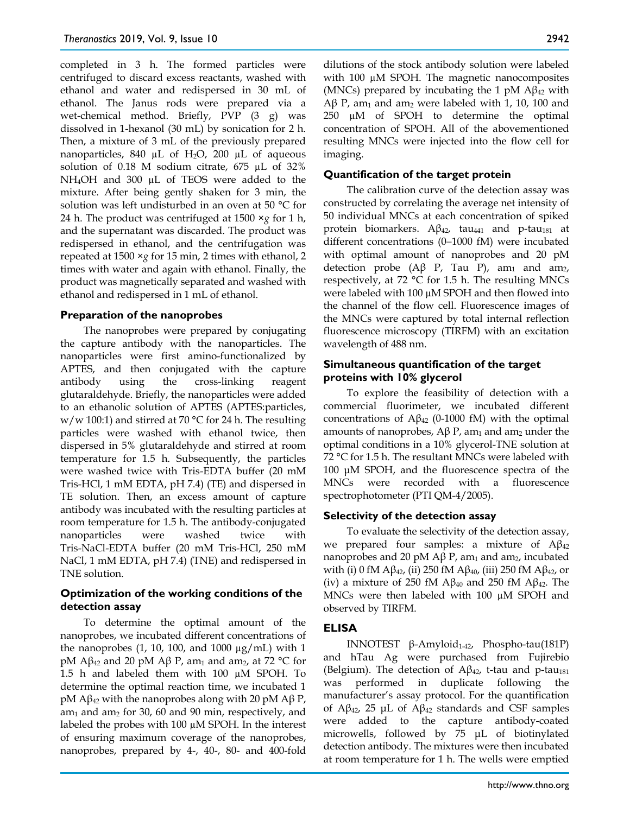completed in 3 h. The formed particles were centrifuged to discard excess reactants, washed with ethanol and water and redispersed in 30 mL of ethanol. The Janus rods were prepared via a wet-chemical method. Briefly, PVP (3 g) was dissolved in 1-hexanol (30 mL) by sonication for 2 h. Then, a mixture of 3 mL of the previously prepared nanoparticles, 840  $\mu$ L of H<sub>2</sub>O, 200  $\mu$ L of aqueous solution of 0.18 M sodium citrate, 675 µL of 32% NH<sub>4</sub>OH and 300 µL of TEOS were added to the mixture. After being gently shaken for 3 min, the solution was left undisturbed in an oven at 50 °C for 24 h. The product was centrifuged at 1500 ×*g* for 1 h, and the supernatant was discarded. The product was redispersed in ethanol, and the centrifugation was repeated at 1500 ×*g* for 15 min, 2 times with ethanol, 2 times with water and again with ethanol. Finally, the product was magnetically separated and washed with ethanol and redispersed in 1 mL of ethanol.

#### **Preparation of the nanoprobes**

The nanoprobes were prepared by conjugating the capture antibody with the nanoparticles. The nanoparticles were first amino-functionalized by APTES, and then conjugated with the capture antibody using the cross-linking reagent glutaraldehyde. Briefly, the nanoparticles were added to an ethanolic solution of APTES (APTES:particles,  $w/w$  100:1) and stirred at 70 °C for 24 h. The resulting particles were washed with ethanol twice, then dispersed in 5% glutaraldehyde and stirred at room temperature for 1.5 h. Subsequently, the particles were washed twice with Tris-EDTA buffer (20 mM Tris-HCl, 1 mM EDTA, pH 7.4) (TE) and dispersed in TE solution. Then, an excess amount of capture antibody was incubated with the resulting particles at room temperature for 1.5 h. The antibody-conjugated nanoparticles were washed twice with Tris-NaCl-EDTA buffer (20 mM Tris-HCl, 250 mM NaCl, 1 mM EDTA, pH 7.4) (TNE) and redispersed in TNE solution.

## **Optimization of the working conditions of the detection assay**

To determine the optimal amount of the nanoprobes, we incubated different concentrations of the nanoprobes  $(1, 10, 100, \text{ and } 1000 \mu\text{g/mL})$  with 1 pM Aβ<sub>42</sub> and 20 pM Aβ P, am<sub>1</sub> and am<sub>2</sub>, at 72 °C for 1.5 h and labeled them with 100 µM SPOH. To determine the optimal reaction time, we incubated 1 pM  $Aβ<sub>42</sub>$  with the nanoprobes along with 20 pM  $Aβ$  P,  $am<sub>1</sub>$  and am<sub>2</sub> for 30, 60 and 90 min, respectively, and labeled the probes with 100 µM SPOH. In the interest of ensuring maximum coverage of the nanoprobes, nanoprobes, prepared by 4-, 40-, 80- and 400-fold

dilutions of the stock antibody solution were labeled with 100 μM SPOH. The magnetic nanocomposites (MNCs) prepared by incubating the 1 pM  $\mathcal{A}\beta_{42}$  with Aβ P, am<sub>1</sub> and am<sub>2</sub> were labeled with 1, 10, 100 and 250 µM of SPOH to determine the optimal concentration of SPOH. All of the abovementioned resulting MNCs were injected into the flow cell for imaging.

## **Quantification of the target protein**

The calibration curve of the detection assay was constructed by correlating the average net intensity of 50 individual MNCs at each concentration of spiked protein biomarkers.  $A\beta_{42}$ , tau<sub>441</sub> and p-tau<sub>181</sub> at different concentrations (0−1000 fM) were incubated with optimal amount of nanoprobes and 20 pM detection probe (Aβ P, Tau P), am<sub>1</sub> and am<sub>2</sub>, respectively, at 72 °C for 1.5 h. The resulting MNCs were labeled with 100  $\mu$ M SPOH and then flowed into the channel of the flow cell. Fluorescence images of the MNCs were captured by total internal reflection fluorescence microscopy (TIRFM) with an excitation wavelength of 488 nm.

## **Simultaneous quantification of the target proteins with 10% glycerol**

To explore the feasibility of detection with a commercial fluorimeter, we incubated different concentrations of  $Aβ<sub>42</sub>$  (0-1000 fM) with the optimal amounts of nanoprobes,  $Aβ P$ , am<sub>1</sub> and am<sub>2</sub> under the optimal conditions in a 10% glycerol-TNE solution at 72 °C for 1.5 h. The resultant MNCs were labeled with 100 μM SPOH, and the fluorescence spectra of the MNCs were recorded with a fluorescence spectrophotometer (PTI QM-4/2005).

# **Selectivity of the detection assay**

To evaluate the selectivity of the detection assay, we prepared four samples: a mixture of  $A\beta_{42}$ nanoprobes and 20 pM Aβ P, am<sub>1</sub> and am<sub>2</sub>, incubated with (i) 0 fM Aβ<sub>42</sub>, (ii) 250 fM Aβ<sub>40</sub>, (iii) 250 fM Aβ<sub>42</sub>, or (iv) a mixture of 250 fM  $\mathbf{A}\beta_{40}$  and 250 fM  $\mathbf{A}\beta_{42}$ . The MNCs were then labeled with 100  $\mu$ M SPOH and observed by TIRFM.

## **ELISA**

INNOTEST  $β$ -Amyloid<sub>1-42</sub>, Phospho-tau(181P) and hTau Ag were purchased from Fujirebio (Belgium). The detection of  $A\beta_{42}$ , t-tau and p-tau<sub>181</sub> was performed in duplicate following the manufacturer's assay protocol. For the quantification of Aβ<sub>42</sub>, 25 μL of Aβ<sub>42</sub> standards and CSF samples were added to the capture antibody-coated microwells, followed by 75 μL of biotinylated detection antibody. The mixtures were then incubated at room temperature for 1 h. The wells were emptied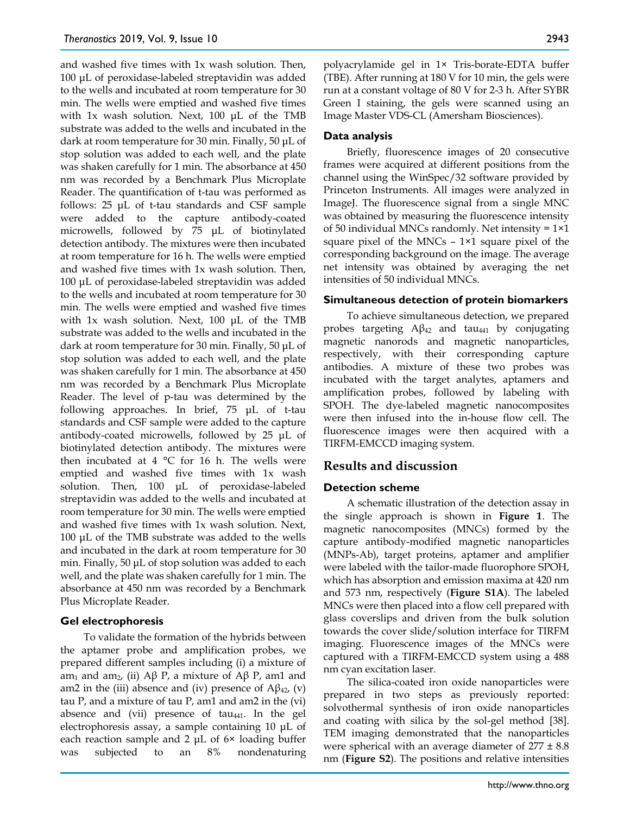and washed five times with 1x wash solution. Then, 100 μL of peroxidase-labeled streptavidin was added to the wells and incubated at room temperature for 30 min. The wells were emptied and washed five times with 1x wash solution. Next, 100 μL of the TMB substrate was added to the wells and incubated in the dark at room temperature for 30 min. Finally, 50 μL of stop solution was added to each well, and the plate was shaken carefully for 1 min. The absorbance at 450 nm was recorded by a Benchmark Plus Microplate Reader. The quantification of t-tau was performed as follows: 25 μL of t-tau standards and CSF sample were added to the capture antibody-coated microwells, followed by 75 μL of biotinylated detection antibody. The mixtures were then incubated at room temperature for 16 h. The wells were emptied and washed five times with 1x wash solution. Then, 100 μL of peroxidase-labeled streptavidin was added to the wells and incubated at room temperature for 30 min. The wells were emptied and washed five times with 1x wash solution. Next, 100 μL of the TMB substrate was added to the wells and incubated in the dark at room temperature for 30 min. Finally, 50 μL of stop solution was added to each well, and the plate was shaken carefully for 1 min. The absorbance at 450 nm was recorded by a Benchmark Plus Microplate Reader. The level of p-tau was determined by the following approaches. In brief, 75 μL of t-tau standards and CSF sample were added to the capture antibody-coated microwells, followed by 25 μL of biotinylated detection antibody. The mixtures were then incubated at 4  $^{\circ}$ C for 16 h. The wells were emptied and washed five times with 1x wash solution. Then, 100 μL of peroxidase-labeled streptavidin was added to the wells and incubated at room temperature for 30 min. The wells were emptied and washed five times with 1x wash solution. Next, 100 μL of the TMB substrate was added to the wells and incubated in the dark at room temperature for 30 min. Finally, 50 μL of stop solution was added to each well, and the plate was shaken carefully for 1 min. The absorbance at 450 nm was recorded by a Benchmark Plus Microplate Reader.

#### **Gel electrophoresis**

To validate the formation of the hybrids between the aptamer probe and amplification probes, we prepared different samples including (i) a mixture of am<sub>1</sub> and am<sub>2</sub>, (ii) Aβ P, a mixture of Aβ P, am1 and am2 in the (iii) absence and (iv) presence of  $Aβ_{42}$ , (v) tau P, and a mixture of tau P, am1 and am2 in the (vi) absence and (vii) presence of  $tau_{441}$ . In the gel electrophoresis assay, a sample containing 10 μL of each reaction sample and 2 μL of 6× loading buffer was subjected to an 8% nondenaturing

polyacrylamide gel in 1× Tris-borate-EDTA buffer (TBE). After running at 180 V for 10 min, the gels were run at a constant voltage of 80 V for 2-3 h. After SYBR Green I staining, the gels were scanned using an Image Master VDS-CL (Amersham Biosciences).

#### **Data analysis**

Briefly, fluorescence images of 20 consecutive frames were acquired at different positions from the channel using the WinSpec/32 software provided by Princeton Instruments. All images were analyzed in ImageJ. The fluorescence signal from a single MNC was obtained by measuring the fluorescence intensity of 50 individual MNCs randomly. Net intensity = 1×1 square pixel of the MNCs – 1×1 square pixel of the corresponding background on the image. The average net intensity was obtained by averaging the net intensities of 50 individual MNCs.

#### **Simultaneous detection of protein biomarkers**

To achieve simultaneous detection, we prepared probes targeting  $Aβ<sub>42</sub>$  and tau<sub>441</sub> by conjugating magnetic nanorods and magnetic nanoparticles, respectively, with their corresponding capture antibodies. A mixture of these two probes was incubated with the target analytes, aptamers and amplification probes, followed by labeling with SPOH. The dye-labeled magnetic nanocomposites were then infused into the in-house flow cell. The fluorescence images were then acquired with a TIRFM-EMCCD imaging system.

# **Results and discussion**

## **Detection scheme**

A schematic illustration of the detection assay in the single approach is shown in **Figure 1**. The magnetic nanocomposites (MNCs) formed by the capture antibody-modified magnetic nanoparticles (MNPs-Ab), target proteins, aptamer and amplifier were labeled with the tailor-made fluorophore SPOH, which has absorption and emission maxima at 420 nm and 573 nm, respectively (**Figure S1A**). The labeled MNCs were then placed into a flow cell prepared with glass coverslips and driven from the bulk solution towards the cover slide/solution interface for TIRFM imaging. Fluorescence images of the MNCs were captured with a TIRFM-EMCCD system using a 488 nm cyan excitation laser.

The silica-coated iron oxide nanoparticles were prepared in two steps as previously reported: solvothermal synthesis of iron oxide nanoparticles and coating with silica by the sol-gel method [38]. TEM imaging demonstrated that the nanoparticles were spherical with an average diameter of  $277 \pm 8.8$ nm (**Figure S2**). The positions and relative intensities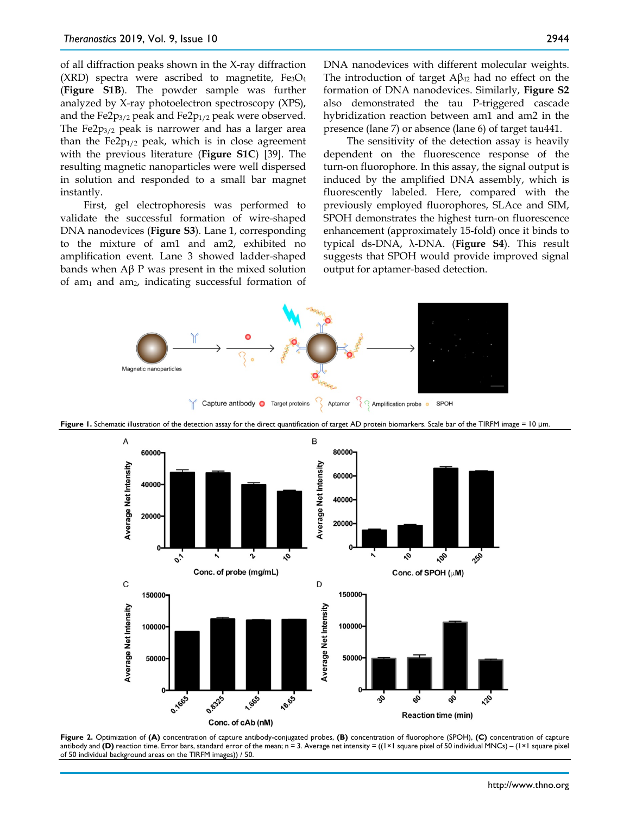of all diffraction peaks shown in the X-ray diffraction (XRD) spectra were ascribed to magnetite,  $Fe<sub>3</sub>O<sub>4</sub>$ (**Figure S1B**). The powder sample was further analyzed by X-ray photoelectron spectroscopy (XPS), and the Fe2 $p_{3/2}$  peak and Fe2 $p_{1/2}$  peak were observed. The Fe2p3/2 peak is narrower and has a larger area than the Fe $2p_{1/2}$  peak, which is in close agreement with the previous literature (**Figure S1C**) [39]. The resulting magnetic nanoparticles were well dispersed in solution and responded to a small bar magnet instantly.

First, gel electrophoresis was performed to validate the successful formation of wire-shaped DNA nanodevices (**Figure S3**). Lane 1, corresponding to the mixture of am1 and am2, exhibited no amplification event. Lane 3 showed ladder-shaped bands when Aβ P was present in the mixed solution of am<sub>1</sub> and am<sub>2</sub>, indicating successful formation of

DNA nanodevices with different molecular weights. The introduction of target  $A\beta_{42}$  had no effect on the formation of DNA nanodevices. Similarly, **Figure S2** also demonstrated the tau P-triggered cascade hybridization reaction between am1 and am2 in the presence (lane 7) or absence (lane 6) of target tau441.

The sensitivity of the detection assay is heavily dependent on the fluorescence response of the turn-on fluorophore. In this assay, the signal output is induced by the amplified DNA assembly, which is fluorescently labeled. Here, compared with the previously employed fluorophores, SLAce and SIM, SPOH demonstrates the highest turn-on fluorescence enhancement (approximately 15-fold) once it binds to typical ds-DNA, λ-DNA. (**Figure S4**). This result suggests that SPOH would provide improved signal output for aptamer-based detection.



**Figure 1.** Schematic illustration of the detection assay for the direct quantification of target AD protein biomarkers. Scale bar of the TIRFM image = 10 μm.



**Figure 2.** Optimization of **(A)** concentration of capture antibody-conjugated probes, **(B)** concentration of fluorophore (SPOH), **(C)** concentration of capture antibody and **(D)** reaction time. Error bars, standard error of the mean; n = 3. Average net intensity = ((1×1 square pixel of 50 individual MNCs) – (1×1 square pixel of 50 individual background areas on the TIRFM images)) / 50.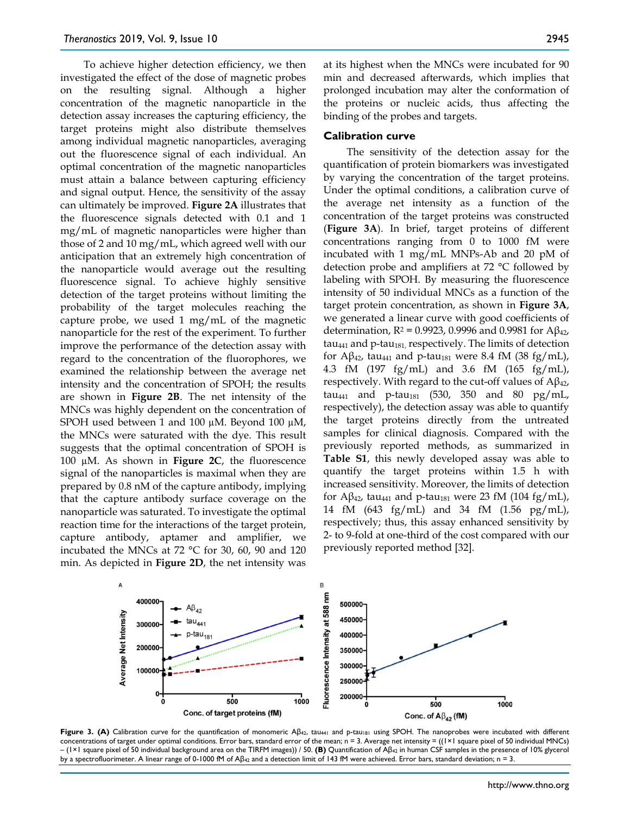To achieve higher detection efficiency, we then investigated the effect of the dose of magnetic probes on the resulting signal. Although a higher concentration of the magnetic nanoparticle in the detection assay increases the capturing efficiency, the target proteins might also distribute themselves among individual magnetic nanoparticles, averaging out the fluorescence signal of each individual. An optimal concentration of the magnetic nanoparticles must attain a balance between capturing efficiency and signal output. Hence, the sensitivity of the assay can ultimately be improved. **Figure 2A** illustrates that the fluorescence signals detected with 0.1 and 1 mg/mL of magnetic nanoparticles were higher than those of 2 and 10 mg/mL, which agreed well with our anticipation that an extremely high concentration of the nanoparticle would average out the resulting fluorescence signal. To achieve highly sensitive detection of the target proteins without limiting the probability of the target molecules reaching the capture probe, we used 1 mg/mL of the magnetic nanoparticle for the rest of the experiment. To further improve the performance of the detection assay with regard to the concentration of the fluorophores, we examined the relationship between the average net intensity and the concentration of SPOH; the results are shown in **Figure 2B**. The net intensity of the MNCs was highly dependent on the concentration of SPOH used between 1 and 100 µM. Beyond 100 µM, the MNCs were saturated with the dye. This result suggests that the optimal concentration of SPOH is 100 µM. As shown in **Figure 2C**, the fluorescence signal of the nanoparticles is maximal when they are prepared by 0.8 nM of the capture antibody, implying that the capture antibody surface coverage on the nanoparticle was saturated. To investigate the optimal reaction time for the interactions of the target protein, capture antibody, aptamer and amplifier, we incubated the MNCs at 72 °C for 30, 60, 90 and 120 min. As depicted in **Figure 2D**, the net intensity was

at its highest when the MNCs were incubated for 90 min and decreased afterwards, which implies that prolonged incubation may alter the conformation of the proteins or nucleic acids, thus affecting the binding of the probes and targets.

#### **Calibration curve**

The sensitivity of the detection assay for the quantification of protein biomarkers was investigated by varying the concentration of the target proteins. Under the optimal conditions, a calibration curve of the average net intensity as a function of the concentration of the target proteins was constructed (**Figure 3A**). In brief, target proteins of different concentrations ranging from 0 to 1000 fM were incubated with 1 mg/mL MNPs-Ab and 20 pM of detection probe and amplifiers at 72 °C followed by labeling with SPOH. By measuring the fluorescence intensity of 50 individual MNCs as a function of the target protein concentration, as shown in **Figure 3A**, we generated a linear curve with good coefficients of determination,  $R^2$  = 0.9923, 0.9996 and 0.9981 for Aβ<sub>42</sub>,  $tau_{441}$  and  $p$ -tau<sub>181</sub>, respectively. The limits of detection for Aβ<sub>42</sub>, tau<sub>441</sub> and p-tau<sub>181</sub> were 8.4 fM (38 fg/mL), 4.3 fM (197 fg/mL) and 3.6 fM (165 fg/mL), respectively. With regard to the cut-off values of  $A\beta_{42}$ ,  $tau_{441}$  and p-tau<sub>181</sub> (530, 350 and 80 pg/mL, respectively), the detection assay was able to quantify the target proteins directly from the untreated samples for clinical diagnosis. Compared with the previously reported methods, as summarized in **Table S1**, this newly developed assay was able to quantify the target proteins within 1.5 h with increased sensitivity. Moreover, the limits of detection for Aβ<sub>42</sub>, tau<sub>441</sub> and p-tau<sub>181</sub> were 23 fM (104 fg/mL), 14 fM (643 fg/mL) and 34 fM (1.56 pg/mL), respectively; thus, this assay enhanced sensitivity by 2- to 9-fold at one-third of the cost compared with our previously reported method [32].



Figure 3. (A) Calibration curve for the quantification of monomeric Aβ42, tau<sub>441</sub> and p-tau<sub>181</sub> using SPOH. The nanoprobes were incubated with different concentrations of target under optimal conditions. Error bars, standard error of the mean;  $n = 3$ . Average net intensity =  $(|x|$  square pixel of 50 individual MNCs) – (1×1 square pixel of 50 individual background area on the TIRFM images)) / 50. **(B)** Quantification of Aβ<sup>42</sup> in human CSF samples in the presence of 10% glycerol by a spectrofluorimeter. A linear range of 0-1000 fM of Aβ<sup>42</sup> and a detection limit of 143 fM were achieved. Error bars, standard deviation; n = 3.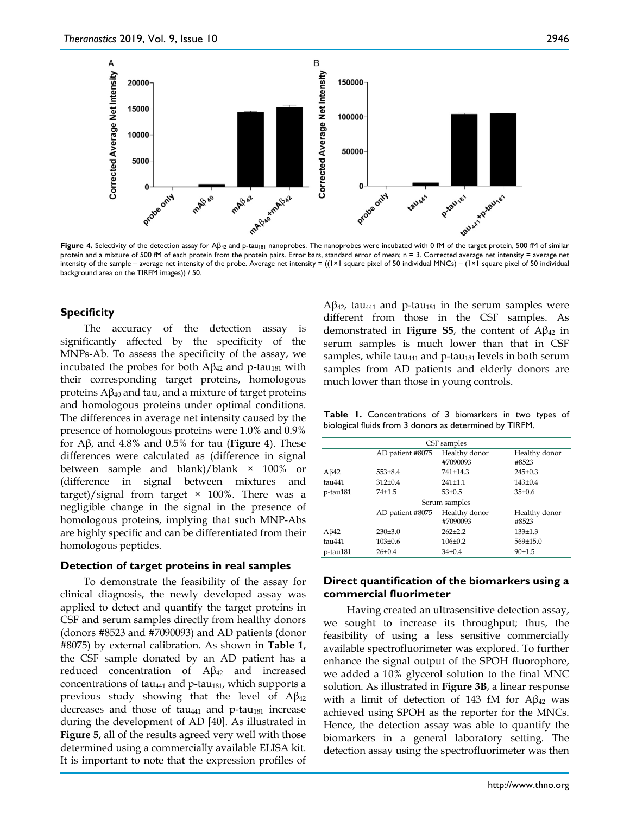

Figure 4. Selectivity of the detection assay for Aβ<sub>42</sub> and p-tau<sub>181</sub> nanoprobes. The nanoprobes were incubated with 0 fM of the target protein, 500 fM of similar protein and a mixture of 500 fM of each protein from the protein pairs. Error bars, standard error of mean; n = 3. Corrected average net intensity = average net intensity of the sample – average net intensity of the probe. Average net intensity = ((1×1 square pixel of 50 individual MNCs) – (1×1 square pixel of 50 individual background area on the TIRFM images)) / 50.

#### **Specificity**

The accuracy of the detection assay is significantly affected by the specificity of the MNPs-Ab. To assess the specificity of the assay, we incubated the probes for both  $A\beta_{42}$  and p-tau<sub>181</sub> with their corresponding target proteins, homologous proteins  $Aβ<sub>40</sub>$  and tau, and a mixture of target proteins and homologous proteins under optimal conditions. The differences in average net intensity caused by the presence of homologous proteins were 1.0% and 0.9% for Aβ, and 4.8% and 0.5% for tau (**Figure 4**). These differences were calculated as (difference in signal between sample and blank)/blank × 100% or (difference in signal between mixtures and target)/signal from target  $\times$  100%. There was a negligible change in the signal in the presence of homologous proteins, implying that such MNP-Abs are highly specific and can be differentiated from their homologous peptides.

#### **Detection of target proteins in real samples**

To demonstrate the feasibility of the assay for clinical diagnosis, the newly developed assay was applied to detect and quantify the target proteins in CSF and serum samples directly from healthy donors (donors #8523 and #7090093) and AD patients (donor #8075) by external calibration. As shown in **Table 1**, the CSF sample donated by an AD patient has a reduced concentration of  $A\beta_{42}$  and increased concentrations of tau<sub>441</sub> and p-tau<sub>181</sub>, which supports a previous study showing that the level of  $A\beta_{42}$ decreases and those of tau<sub>441</sub> and p-tau<sub>181</sub> increase during the development of AD [40]. As illustrated in **Figure 5**, all of the results agreed very well with those determined using a commercially available ELISA kit. It is important to note that the expression profiles of

 $Aβ<sub>42</sub>$ , tau<sub>441</sub> and p-tau<sub>181</sub> in the serum samples were different from those in the CSF samples. As demonstrated in **Figure S5**, the content of  $Aβ<sub>42</sub>$  in serum samples is much lower than that in CSF samples, while tau<sub>441</sub> and p-tau<sub>181</sub> levels in both serum samples from AD patients and elderly donors are much lower than those in young controls.

**Table 1.** Concentrations of 3 biomarkers in two types of biological fluids from 3 donors as determined by TIRFM.

| CSF samples   |                  |                           |                        |
|---------------|------------------|---------------------------|------------------------|
|               | AD patient #8075 | Healthy donor<br>#7090093 | Healthy donor<br>#8523 |
| $A\beta 42$   | $553\pm8.4$      | $741 \pm 14.3$            | $245+0.3$              |
| tau441        | $312+0.4$        | $241 + 1.1$               | $143+0.4$              |
| p-tau181      | $74 + 1.5$       | $53+0.5$                  | $35\pm0.6$             |
| Serum samples |                  |                           |                        |
|               | AD patient #8075 | Healthy donor<br>#7090093 | Healthy donor<br>#8523 |
| $A\beta 42$   | 230±3.0          | $262+2.2$                 | $133\pm1.3$            |
| tau441        | $103 \pm 0.6$    | $106+0.2$                 | 569±15.0               |
| p-tau181      | $26 \pm 0.4$     | $34\pm0.4$                | 90±1.5                 |

#### **Direct quantification of the biomarkers using a commercial fluorimeter**

Having created an ultrasensitive detection assay, we sought to increase its throughput; thus, the feasibility of using a less sensitive commercially available spectrofluorimeter was explored. To further enhance the signal output of the SPOH fluorophore, we added a 10% glycerol solution to the final MNC solution. As illustrated in **Figure 3B**, a linear response with a limit of detection of 143 fM for  $A\beta_{42}$  was achieved using SPOH as the reporter for the MNCs. Hence, the detection assay was able to quantify the biomarkers in a general laboratory setting. The detection assay using the spectrofluorimeter was then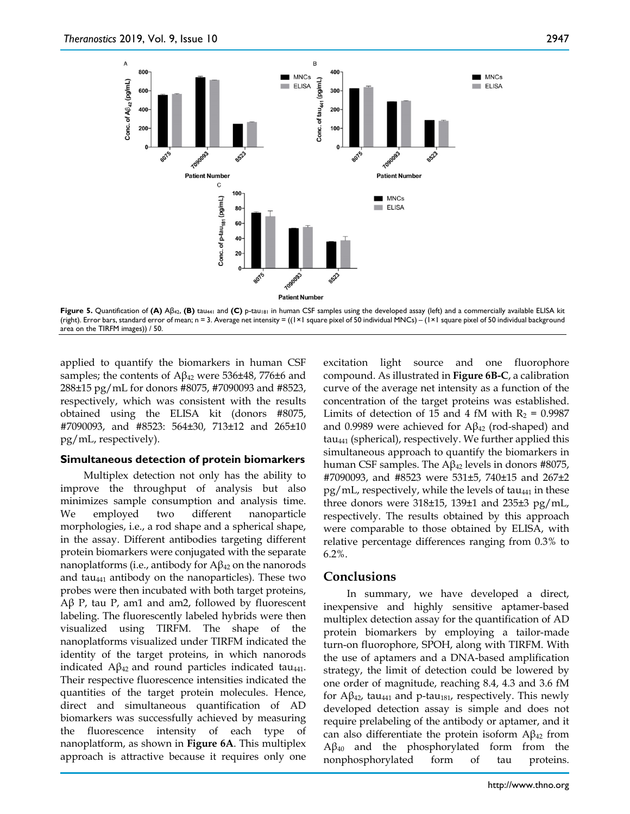

**Figure 5.** Quantification of **(A)** Aβ42, **(B)** tau441 and **(C)** p-tau181 in human CSF samples using the developed assay (left) and a commercially available ELISA kit (right). Error bars, standard error of mean; n = 3. Average net intensity = ((1×1 square pixel of 50 individual MNCs) – (1×1 square pixel of 50 individual background area on the TIRFM images)) / 50.

applied to quantify the biomarkers in human CSF samples; the contents of  $A\beta_{42}$  were 536±48, 776±6 and 288±15 pg/mL for donors #8075, #7090093 and #8523, respectively, which was consistent with the results obtained using the ELISA kit (donors #8075, #7090093, and #8523: 564±30, 713±12 and 265±10 pg/mL, respectively).

#### **Simultaneous detection of protein biomarkers**

Multiplex detection not only has the ability to improve the throughput of analysis but also minimizes sample consumption and analysis time. We employed two different nanoparticle morphologies, i.e., a rod shape and a spherical shape, in the assay. Different antibodies targeting different protein biomarkers were conjugated with the separate nanoplatforms (i.e., antibody for  $A\beta_{42}$  on the nanorods and tau<sub>441</sub> antibody on the nanoparticles). These two probes were then incubated with both target proteins, Aβ P, tau P, am1 and am2, followed by fluorescent labeling. The fluorescently labeled hybrids were then visualized using TIRFM. The shape of the nanoplatforms visualized under TIRFM indicated the identity of the target proteins, in which nanorods indicated  $A\beta_{42}$  and round particles indicated tau<sub>441</sub>. Their respective fluorescence intensities indicated the quantities of the target protein molecules. Hence, direct and simultaneous quantification of AD biomarkers was successfully achieved by measuring the fluorescence intensity of each type of nanoplatform, as shown in **Figure 6A**. This multiplex approach is attractive because it requires only one

excitation light source and one fluorophore compound. As illustrated in **Figure 6B-C**, a calibration curve of the average net intensity as a function of the concentration of the target proteins was established. Limits of detection of 15 and 4 fM with  $R_2 = 0.9987$ and 0.9989 were achieved for  $Aβ<sub>42</sub>$  (rod-shaped) and  $tau_{441}$  (spherical), respectively. We further applied this simultaneous approach to quantify the biomarkers in human CSF samples. The A $β<sub>42</sub>$  levels in donors #8075, #7090093, and #8523 were 531±5, 740±15 and 267±2  $pg/mL$ , respectively, while the levels of tau<sub>441</sub> in these three donors were 318±15, 139±1 and 235±3 pg/mL, respectively. The results obtained by this approach were comparable to those obtained by ELISA, with relative percentage differences ranging from 0.3% to 6.2%.

# **Conclusions**

In summary, we have developed a direct, inexpensive and highly sensitive aptamer-based multiplex detection assay for the quantification of AD protein biomarkers by employing a tailor-made turn-on fluorophore, SPOH, along with TIRFM. With the use of aptamers and a DNA-based amplification strategy, the limit of detection could be lowered by one order of magnitude, reaching 8.4, 4.3 and 3.6 fM for  $Aβ_{42}$ , tau<sub>441</sub> and p-tau<sub>181</sub>, respectively. This newly developed detection assay is simple and does not require prelabeling of the antibody or aptamer, and it can also differentiate the protein isoform Aβ<sup>42</sup> from  $A\beta_{40}$  and the phosphorylated form from the nonphosphorylated form of tau proteins.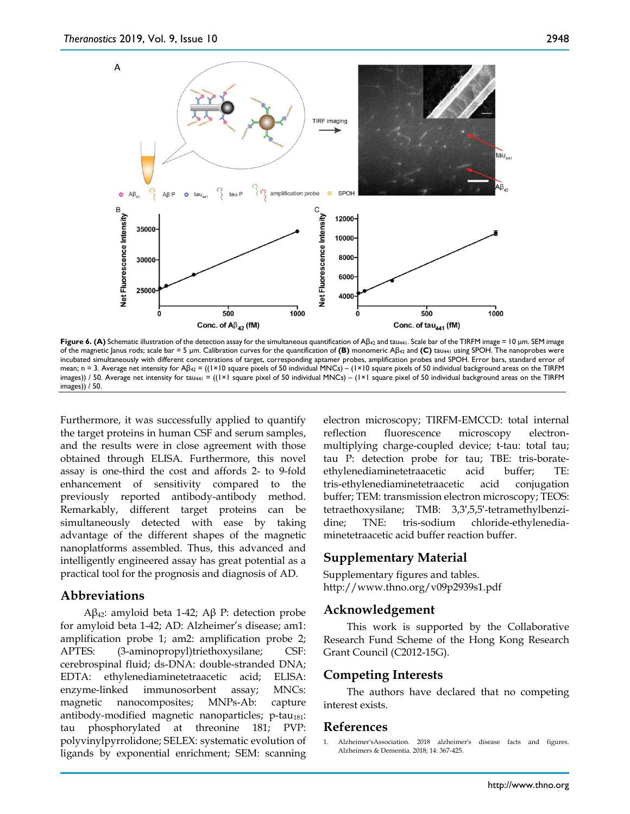

Figure 6. (A) Schematic illustration of the detection assay for the simultaneous quantification of Aβ<sub>42</sub> and tau<sub>441</sub>. Scale bar of the TIRFM image = 10 µm. SEM image of the magnetic Janus rods; scale bar = 5 µm. Calibration curves for the quantification of **(B)** monomeric Aβ<sup>42</sup> and **(C)** tau441 using SPOH. The nanoprobes were incubated simultaneously with different concentrations of target, corresponding aptamer probes, amplification probes and SPOH. Error bars, standard error of mean; n = 3. Average net intensity for Aβ<sup>42</sup> = ((1×10 square pixels of 50 individual MNCs) – (1×10 square pixels of 50 individual background areas on the TIRFM images)) / 50. Average net intensity for tau<sub>441</sub> = ((1×1 square pixel of 50 individual MNCs) – (1×1 square pixel of 50 individual background areas on the TIRFM images)) / 50.

Furthermore, it was successfully applied to quantify the target proteins in human CSF and serum samples, and the results were in close agreement with those obtained through ELISA. Furthermore, this novel assay is one-third the cost and affords 2- to 9-fold enhancement of sensitivity compared to the previously reported antibody-antibody method. Remarkably, different target proteins can be simultaneously detected with ease by taking advantage of the different shapes of the magnetic nanoplatforms assembled. Thus, this advanced and intelligently engineered assay has great potential as a practical tool for the prognosis and diagnosis of AD.

## **Abbreviations**

Aβ42: amyloid beta 1-42; Aβ P: detection probe for amyloid beta 1-42; AD: Alzheimer's disease; am1: amplification probe 1; am2: amplification probe 2; APTES: (3-aminopropyl)triethoxysilane; CSF: cerebrospinal fluid; ds-DNA: double-stranded DNA; EDTA: ethylenediaminetetraacetic acid; ELISA: enzyme-linked immunosorbent assay; MNCs: magnetic nanocomposites; MNPs-Ab: capture antibody-modified magnetic nanoparticles;  $p$ -tau<sub>181</sub>: tau phosphorylated at threonine 181; PVP: polyvinylpyrrolidone; SELEX: systematic evolution of ligands by exponential enrichment; SEM: scanning electron microscopy; TIRFM-EMCCD: total internal reflection fluorescence microscopy electronmultiplying charge-coupled device; t-tau: total tau; tau P: detection probe for tau; TBE: tris-borateethylenediaminetetraacetic acid buffer; TE: tris-ethylenediaminetetraacetic acid conjugation buffer; TEM: transmission electron microscopy; TEOS: tetraethoxysilane; TMB: 3,3′,5,5′-tetramethylbenzidine; TNE: tris-sodium chloride-ethylenediaminetetraacetic acid buffer reaction buffer.

## **Supplementary Material**

Supplementary figures and tables. http://www.thno.org/v09p2939s1.pdf

## **Acknowledgement**

This work is supported by the Collaborative Research Fund Scheme of the Hong Kong Research Grant Council (C2012-15G).

## **Competing Interests**

The authors have declared that no competing interest exists.

## **References**

Alzheimer'sAssociation. 2018 alzheimer's disease facts and figures. Alzheimers & Dementia. 2018; 14: 367-425.